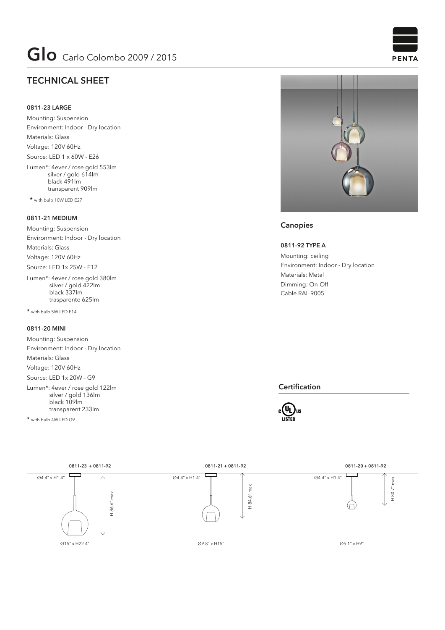# **TECHNICAL SHEET**

### **0811-23 LARGE**

Mounting: Suspension Environment: Indoor - Dry location Materials: Glass Voltage: 120V 60Hz Source: LED 1 x 60W - E26 Lumen\*: 4ever / rose gold 553lm

 silver / gold 614lm black 491lm transparent 909lm

 **\*** with bulb 10W LED E27

#### **0811-21 MEDIUM**

Mounting: Suspension Environment: Indoor - Dry location Materials: Glass Voltage: 120V 60Hz Source: LED 1x 25W - E12

Lumen\*: 4ever / rose gold 380lm silver / gold 422lm black 337lm trasparente 625lm

**\*** with bulb 5W LED E14

### **0811-20 MINI**

Mounting: Suspension Environment: Indoor - Dry location Materials: Glass Voltage: 120V 60Hz Source: LED 1x 20W - G9

Lumen\*: 4ever / rose gold 122lm silver / gold 136lm black 109lm transparent 233lm

**\*** with bulb 4W LED G9



## **Canopies**

#### **0811-92 TYPE A**

Mounting: ceiling Environment: Indoor - Dry location Materials: Metal Dimming: On-Off Cable RAL 9005

#### **Certification**





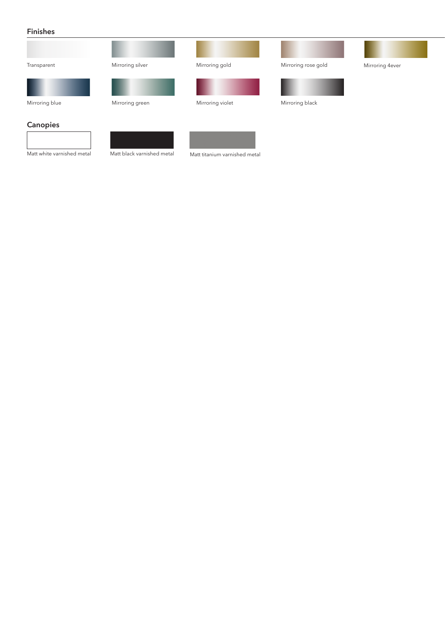### **Finishes**

| Transparent                | Mirroring silver           | Mirroring gold                | Mirroring rose gold | Mirroring 4ever |
|----------------------------|----------------------------|-------------------------------|---------------------|-----------------|
|                            |                            |                               |                     |                 |
| Mirroring blue             | Mirroring green            | Mirroring violet              | Mirroring black     |                 |
| Canopies                   |                            |                               |                     |                 |
| Matt white varnished metal | Matt black varnished metal | Matt titanium varnished metal |                     |                 |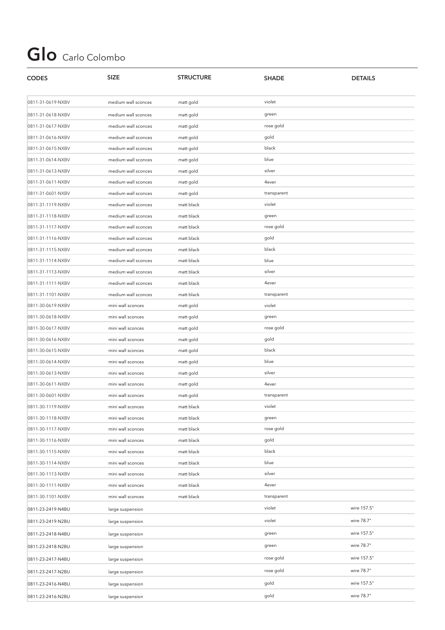# **Glo** Carlo Colombo

| <b>CODES</b>      | <b>SIZE</b>         | <b>STRUCTURE</b> | <b>SHADE</b> | <b>DETAILS</b> |
|-------------------|---------------------|------------------|--------------|----------------|
| 0811-31-0619-NXBV | medium wall sconces | matt gold        | violet       |                |
| 0811-31-0618-NXBV | medium wall sconces | matt gold        | green        |                |
| 0811-31-0617-NXBV | medium wall sconces | matt gold        | rose gold    |                |
| 0811-31-0616-NXBV | medium wall sconces | matt gold        | gold         |                |
| 0811-31-0615-NXBV | medium wall sconces | matt gold        | black        |                |
| 0811-31-0614-NXBV | medium wall sconces | matt gold        | blue         |                |
| 0811-31-0613-NXBV | medium wall sconces | matt gold        | silver       |                |
| 0811-31-0611-NXBV | medium wall sconces | matt gold        | 4ever        |                |
| 0811-31-0601-NXBV | medium wall sconces | matt gold        | transparent  |                |
| 0811-31-1119-NXBV | medium wall sconces | matt black       | violet       |                |
| 0811-31-1118-NXBV | medium wall sconces | matt black       | green        |                |
| 0811-31-1117-NXBV | medium wall sconces | matt black       | rose gold    |                |
| 0811-31-1116-NXBV | medium wall sconces | matt black       | gold         |                |
| 0811-31-1115-NXBV | medium wall sconces | matt black       | black        |                |
| 0811-31-1114-NXBV | medium wall sconces | matt black       | blue         |                |
| 0811-31-1113-NXBV | medium wall sconces | matt black       | silver       |                |
| 0811-31-1111-NXBV | medium wall sconces | matt black       | 4ever        |                |
| 0811-31-1101-NXBV | medium wall sconces | matt black       | transparent  |                |
| 0811-30-0619-NXBV | mini wall sconces   | matt gold        | violet       |                |
| 0811-30-0618-NXBV | mini wall sconces   | matt gold        | green        |                |
| 0811-30-0617-NXBV | mini wall sconces   | matt gold        | rose gold    |                |
| 0811-30-0616-NXBV | mini wall sconces   | matt gold        | gold         |                |
| 0811-30-0615-NXBV | mini wall sconces   | matt gold        | black        |                |
| 0811-30-0614-NXBV | mini wall sconces   | matt gold        | blue         |                |
| 0811-30-0613-NXBV | mini wall sconces   | matt gold        | silver       |                |
| 0811-30-0611-NXBV | mini wall sconces   | matt gold        | 4ever        |                |
| 0811-30-0601-NXBV | mini wall sconces   | matt gold        | transparent  |                |
| 0811-30-1119-NXBV | mini wall sconces   | matt black       | violet       |                |
| 0811-30-1118-NXBV | mini wall sconces   | matt black       | green        |                |
| 0811-30-1117-NXBV | mini wall sconces   | matt black       | rose gold    |                |
| 0811-30-1116-NXBV | mini wall sconces   | matt black       | gold         |                |
| 0811-30-1115-NXBV | mini wall sconces   | matt black       | black        |                |
| 0811-30-1114-NXBV | mini wall sconces   | matt black       | blue         |                |
| 0811-30-1113-NXBV | mini wall sconces   | matt black       | silver       |                |
| 0811-30-1111-NXBV | mini wall sconces   | matt black       | 4ever        |                |
| 0811-30-1101-NXBV | mini wall sconces   | matt black       | transparent  |                |
| 0811-23-2419-N4BU | large suspension    |                  | violet       | wire 157.5"    |
| 0811-23-2419-N2BU | large suspension    |                  | violet       | wire 78.7"     |
| 0811-23-2418-N4BU | large suspension    |                  | green        | wire 157.5"    |
| 0811-23-2418-N2BU | large suspension    |                  | green        | wire 78.7"     |
| 0811-23-2417-N4BU | large suspension    |                  | rose gold    | wire 157.5"    |
| 0811-23-2417-N2BU | large suspension    |                  | rose gold    | wire 78.7"     |
| 0811-23-2416-N4BU | large suspension    |                  | gold         | wire 157.5"    |
| 0811-23-2416-N2BU | large suspension    |                  | gold         | wire 78.7"     |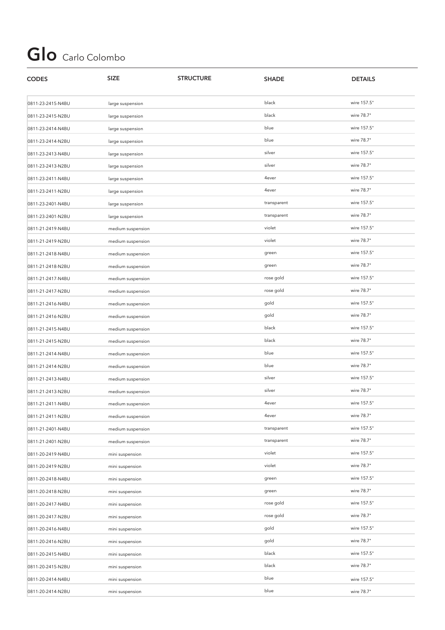# **Glo** Carlo Colombo

| <b>CODES</b>      | <b>SIZE</b>       | <b>STRUCTURE</b> | <b>SHADE</b> | <b>DETAILS</b> |
|-------------------|-------------------|------------------|--------------|----------------|
| 0811-23-2415-N4BU | large suspension  |                  | black        | wire 157.5"    |
| 0811-23-2415-N2BU | large suspension  |                  | black        | wire 78.7"     |
| 0811-23-2414-N4BU | large suspension  |                  | blue         | wire 157.5"    |
| 0811-23-2414-N2BU | large suspension  |                  | blue         | wire 78.7"     |
| 0811-23-2413-N4BU | large suspension  |                  | silver       | wire 157.5"    |
| 0811-23-2413-N2BU | large suspension  |                  | silver       | wire 78.7"     |
| 0811-23-2411-N4BU | large suspension  |                  | 4ever        | wire 157.5"    |
| 0811-23-2411-N2BU | large suspension  |                  | 4ever        | wire 78.7"     |
| 0811-23-2401-N4BU | large suspension  |                  | transparent  | wire 157.5"    |
| 0811-23-2401-N2BU | large suspension  |                  | transparent  | wire 78.7"     |
| 0811-21-2419-N4BU | medium suspension |                  | violet       | wire 157.5"    |
| 0811-21-2419-N2BU | medium suspension |                  | violet       | wire 78.7"     |
| 0811-21-2418-N4BU | medium suspension |                  | green        | wire 157.5"    |
| 0811-21-2418-N2BU | medium suspension |                  | green        | wire 78.7"     |
| 0811-21-2417-N4BU | medium suspension |                  | rose gold    | wire 157.5"    |
| 0811-21-2417-N2BU | medium suspension |                  | rose gold    | wire 78.7"     |
| 0811-21-2416-N4BU | medium suspension |                  | gold         | wire 157.5"    |
| 0811-21-2416-N2BU | medium suspension |                  | gold         | wire 78.7"     |
| 0811-21-2415-N4BU | medium suspension |                  | black        | wire 157.5"    |
| 0811-21-2415-N2BU | medium suspension |                  | black        | wire 78.7"     |
| 0811-21-2414-N4BU | medium suspension |                  | blue         | wire 157.5"    |
| 0811-21-2414-N2BU | medium suspension |                  | blue         | wire 78.7"     |
| 0811-21-2413-N4BU | medium suspension |                  | silver       | wire 157.5"    |
| 0811-21-2413-N2BU | medium suspension |                  | silver       | wire 78.7"     |
| 0811-21-2411-N4BU | medium suspension |                  | 4ever        | wire 157.5"    |
| 0811-21-2411-N2BU | medium suspension |                  | 4ever        | wire 78.7"     |
| 0811-21-2401-N4BU | medium suspension |                  | transparent  | wire 157.5"    |
| 0811-21-2401-N2BU | medium suspension |                  | transparent  | wire 78.7"     |
| 0811-20-2419-N4BU | mini suspension   |                  | violet       | wire 157.5"    |
| 0811-20-2419-N2BU | mini suspension   |                  | violet       | wire 78.7"     |
| 0811-20-2418-N4BU | mini suspension   |                  | green        | wire 157.5"    |
| 0811-20-2418-N2BU | mini suspension   |                  | green        | wire 78.7"     |
| 0811-20-2417-N4BU | mini suspension   |                  | rose gold    | wire 157.5"    |
| 0811-20-2417-N2BU | mini suspension   |                  | rose gold    | wire 78.7"     |
| 0811-20-2416-N4BU | mini suspension   |                  | gold         | wire 157.5"    |
| 0811-20-2416-N2BU | mini suspension   |                  | gold         | wire 78.7"     |
| 0811-20-2415-N4BU | mini suspension   |                  | black        | wire 157.5"    |
| 0811-20-2415-N2BU | mini suspension   |                  | black        | wire 78.7"     |
| 0811-20-2414-N4BU | mini suspension   |                  | blue         | wire 157.5"    |
| 0811-20-2414-N2BU | mini suspension   |                  | blue         | wire 78.7"     |